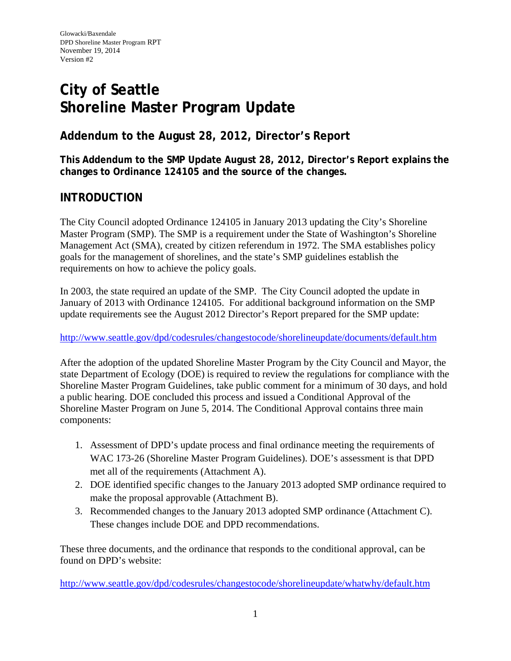# **City of Seattle Shoreline Master Program Update**

# **Addendum to the August 28, 2012, Director's Report**

**This Addendum to the SMP Update August 28, 2012, Director's Report explains the changes to Ordinance 124105 and the source of the changes.**

# **INTRODUCTION**

The City Council adopted Ordinance 124105 in January 2013 updating the City's Shoreline Master Program (SMP). The SMP is a requirement under the State of Washington's Shoreline Management Act (SMA), created by citizen referendum in 1972. The SMA establishes policy goals for the management of shorelines, and the state's SMP guidelines establish the requirements on how to achieve the policy goals.

In 2003, the state required an update of the SMP. The City Council adopted the update in January of 2013 with Ordinance 124105. For additional background information on the SMP update requirements see the August 2012 Director's Report prepared for the SMP update:

http://www.seattle.gov/dpd/codesrules/changestocode/shorelineupdate/documents/default.htm

After the adoption of the updated Shoreline Master Program by the City Council and Mayor, the state Department of Ecology (DOE) is required to review the regulations for compliance with the Shoreline Master Program Guidelines, take public comment for a minimum of 30 days, and hold a public hearing. DOE concluded this process and issued a Conditional Approval of the Shoreline Master Program on June 5, 2014. The Conditional Approval contains three main components:

- 1. Assessment of DPD's update process and final ordinance meeting the requirements of WAC 173-26 (Shoreline Master Program Guidelines). DOE's assessment is that DPD met all of the requirements (Attachment A).
- 2. DOE identified specific changes to the January 2013 adopted SMP ordinance required to make the proposal approvable (Attachment B).
- 3. Recommended changes to the January 2013 adopted SMP ordinance (Attachment C). These changes include DOE and DPD recommendations.

These three documents, and the ordinance that responds to the conditional approval, can be found on DPD's website:

http://www.seattle.gov/dpd/codesrules/changestocode/shorelineupdate/whatwhy/default.htm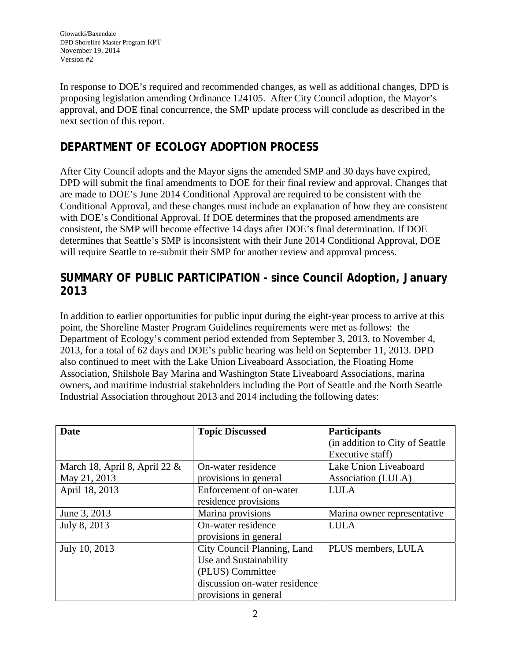Glowacki/Baxendale DPD Shoreline Master Program RPT November 19, 2014 Version #2

In response to DOE's required and recommended changes, as well as additional changes, DPD is proposing legislation amending Ordinance 124105. After City Council adoption, the Mayor's approval, and DOE final concurrence, the SMP update process will conclude as described in the next section of this report.

### **DEPARTMENT OF ECOLOGY ADOPTION PROCESS**

After City Council adopts and the Mayor signs the amended SMP and 30 days have expired, DPD will submit the final amendments to DOE for their final review and approval. Changes that are made to DOE's June 2014 Conditional Approval are required to be consistent with the Conditional Approval, and these changes must include an explanation of how they are consistent with DOE's Conditional Approval. If DOE determines that the proposed amendments are consistent, the SMP will become effective 14 days after DOE's final determination. If DOE determines that Seattle's SMP is inconsistent with their June 2014 Conditional Approval, DOE will require Seattle to re-submit their SMP for another review and approval process.

#### **SUMMARY OF PUBLIC PARTICIPATION - since Council Adoption, January 2013**

In addition to earlier opportunities for public input during the eight-year process to arrive at this point, the Shoreline Master Program Guidelines requirements were met as follows: the Department of Ecology's comment period extended from September 3, 2013, to November 4, 2013, for a total of 62 days and DOE's public hearing was held on September 11, 2013. DPD also continued to meet with the Lake Union Liveaboard Association, the Floating Home Association, Shilshole Bay Marina and Washington State Liveaboard Associations, marina owners, and maritime industrial stakeholders including the Port of Seattle and the North Seattle Industrial Association throughout 2013 and 2014 including the following dates:

| <b>Date</b>                      | <b>Topic Discussed</b>        | <b>Participants</b>             |
|----------------------------------|-------------------------------|---------------------------------|
|                                  |                               | (in addition to City of Seattle |
|                                  |                               | Executive staff)                |
| March 18, April 8, April 22 $\&$ | On-water residence            | Lake Union Liveaboard           |
| May 21, 2013                     | provisions in general         | Association (LULA)              |
| April 18, 2013                   | Enforcement of on-water       | <b>LULA</b>                     |
|                                  | residence provisions          |                                 |
| June 3, 2013                     | Marina provisions             | Marina owner representative     |
| July 8, 2013                     | On-water residence            | <b>LULA</b>                     |
|                                  | provisions in general         |                                 |
| July 10, 2013                    | City Council Planning, Land   | PLUS members, LULA              |
|                                  | Use and Sustainability        |                                 |
|                                  | (PLUS) Committee              |                                 |
|                                  | discussion on-water residence |                                 |
|                                  | provisions in general         |                                 |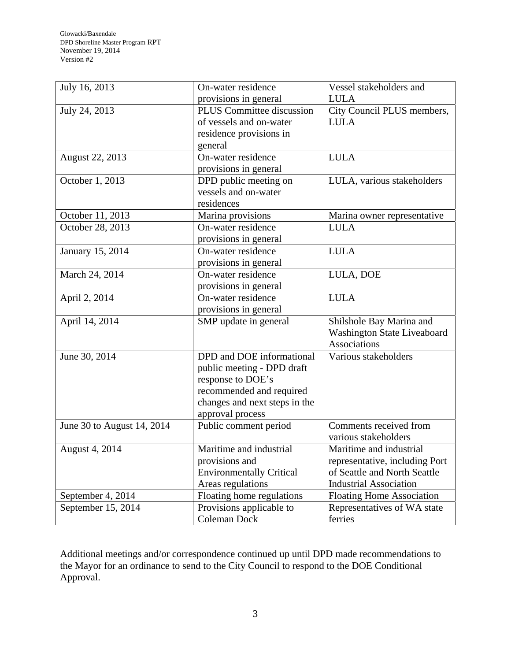| July 16, 2013              | On-water residence               | Vessel stakeholders and          |
|----------------------------|----------------------------------|----------------------------------|
|                            | provisions in general            | <b>LULA</b>                      |
| July 24, 2013              | <b>PLUS</b> Committee discussion | City Council PLUS members,       |
|                            | of vessels and on-water          | <b>LULA</b>                      |
|                            | residence provisions in          |                                  |
|                            | general                          |                                  |
| August 22, 2013            | On-water residence               | <b>LULA</b>                      |
|                            | provisions in general            |                                  |
| October 1, 2013            | DPD public meeting on            | LULA, various stakeholders       |
|                            | vessels and on-water             |                                  |
|                            | residences                       |                                  |
| October 11, 2013           | Marina provisions                | Marina owner representative      |
| October 28, 2013           | On-water residence               | <b>LULA</b>                      |
|                            | provisions in general            |                                  |
| January 15, 2014           | On-water residence               | <b>LULA</b>                      |
|                            | provisions in general            |                                  |
| March 24, 2014             | On-water residence               | LULA, DOE                        |
|                            | provisions in general            |                                  |
| April 2, 2014              | On-water residence               | <b>LULA</b>                      |
|                            | provisions in general            |                                  |
| April 14, 2014             | SMP update in general            | Shilshole Bay Marina and         |
|                            |                                  | Washington State Liveaboard      |
|                            |                                  | Associations                     |
| June 30, 2014              | DPD and DOE informational        | Various stakeholders             |
|                            | public meeting - DPD draft       |                                  |
|                            | response to DOE's                |                                  |
|                            | recommended and required         |                                  |
|                            | changes and next steps in the    |                                  |
|                            | approval process                 |                                  |
| June 30 to August 14, 2014 | Public comment period            | Comments received from           |
|                            |                                  | various stakeholders             |
| <b>August 4, 2014</b>      | Maritime and industrial          | Maritime and industrial          |
|                            | provisions and                   | representative, including Port   |
|                            | <b>Environmentally Critical</b>  | of Seattle and North Seattle     |
|                            | Areas regulations                | <b>Industrial Association</b>    |
| September 4, 2014          | Floating home regulations        | <b>Floating Home Association</b> |
| September 15, 2014         | Provisions applicable to         | Representatives of WA state      |
|                            | Coleman Dock                     | ferries                          |

Additional meetings and/or correspondence continued up until DPD made recommendations to the Mayor for an ordinance to send to the City Council to respond to the DOE Conditional Approval.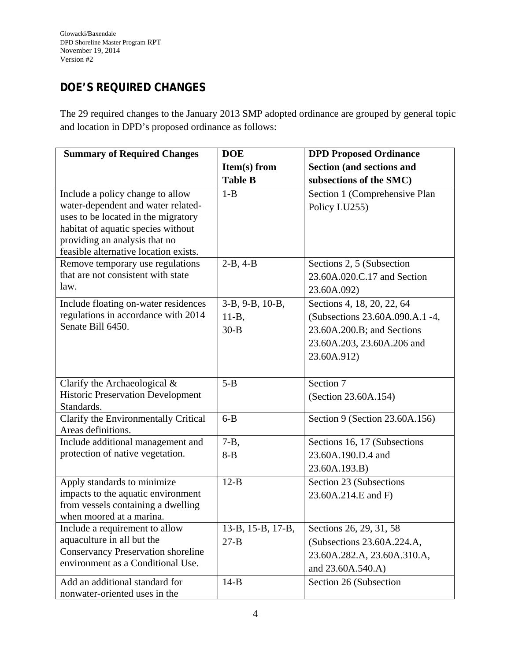# **DOE'S REQUIRED CHANGES**

The 29 required changes to the January 2013 SMP adopted ordinance are grouped by general topic and location in DPD's proposed ordinance as follows:

| <b>Summary of Required Changes</b>                                     | <b>DOE</b>        | <b>DPD Proposed Ordinance</b>   |
|------------------------------------------------------------------------|-------------------|---------------------------------|
|                                                                        | Item(s) from      | Section (and sections and       |
|                                                                        | <b>Table B</b>    | subsections of the SMC)         |
| Include a policy change to allow                                       | $1 - B$           | Section 1 (Comprehensive Plan   |
| water-dependent and water related-                                     |                   | Policy LU255)                   |
| uses to be located in the migratory                                    |                   |                                 |
| habitat of aquatic species without                                     |                   |                                 |
| providing an analysis that no                                          |                   |                                 |
| feasible alternative location exists.                                  | $2-B, 4-B$        |                                 |
| Remove temporary use regulations<br>that are not consistent with state |                   | Sections 2, 5 (Subsection       |
| law.                                                                   |                   | 23.60A.020.C.17 and Section     |
|                                                                        |                   | 23.60A.092)                     |
| Include floating on-water residences                                   | 3-B, 9-B, 10-B,   | Sections 4, 18, 20, 22, 64      |
| regulations in accordance with 2014                                    | $11-B$ ,          | (Subsections 23.60A.090.A.1 -4, |
| Senate Bill 6450.                                                      | $30 - B$          | 23.60A.200.B; and Sections      |
|                                                                        |                   | 23.60A.203, 23.60A.206 and      |
|                                                                        |                   | 23.60A.912)                     |
|                                                                        |                   |                                 |
| Clarify the Archaeological $\&$                                        | $5-B$             | Section 7                       |
| <b>Historic Preservation Development</b>                               |                   | (Section 23.60A.154)            |
| Standards.                                                             |                   |                                 |
| Clarify the Environmentally Critical                                   | $6 - B$           | Section 9 (Section 23.60A.156)  |
| Areas definitions.                                                     |                   |                                 |
| Include additional management and                                      | $7 - B$ ,         | Sections 16, 17 (Subsections    |
| protection of native vegetation.                                       | $8 - B$           | 23.60A.190.D.4 and              |
|                                                                        |                   | 23.60A.193.B)                   |
| Apply standards to minimize                                            | $12-B$            | Section 23 (Subsections         |
| impacts to the aquatic environment                                     |                   | 23.60A.214.E and F)             |
| from vessels containing a dwelling                                     |                   |                                 |
| when moored at a marina.                                               |                   |                                 |
| Include a requirement to allow<br>aquaculture in all but the           | 13-B, 15-B, 17-B, | Sections 26, 29, 31, 58         |
| <b>Conservancy Preservation shoreline</b>                              | $27 - B$          | (Subsections 23.60A.224.A,      |
| environment as a Conditional Use.                                      |                   | 23.60A.282.A, 23.60A.310.A,     |
|                                                                        |                   | and 23.60A.540.A)               |
| Add an additional standard for<br>nonwater-oriented uses in the        | $14-B$            | Section 26 (Subsection          |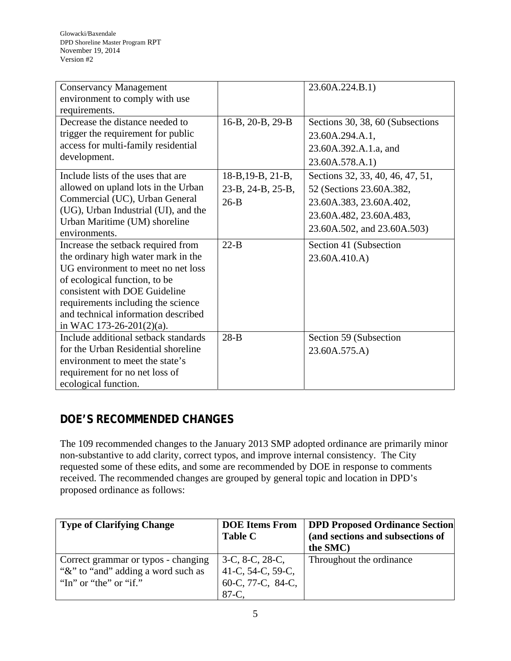| <b>Conservancy Management</b><br>environment to comply with use                                                                                                                                                                                                                                |                                                    | 23.60A.224.B.1)                                                                                                                                   |
|------------------------------------------------------------------------------------------------------------------------------------------------------------------------------------------------------------------------------------------------------------------------------------------------|----------------------------------------------------|---------------------------------------------------------------------------------------------------------------------------------------------------|
| requirements.                                                                                                                                                                                                                                                                                  |                                                    |                                                                                                                                                   |
| Decrease the distance needed to<br>trigger the requirement for public<br>access for multi-family residential<br>development.                                                                                                                                                                   | 16-B, 20-B, 29-B                                   | Sections 30, 38, 60 (Subsections<br>23.60A.294.A.1,<br>23.60A.392.A.1.a, and<br>23.60A.578.A.1)                                                   |
| Include lists of the uses that are<br>allowed on upland lots in the Urban<br>Commercial (UC), Urban General<br>(UG), Urban Industrial (UI), and the<br>Urban Maritime (UM) shoreline<br>environments.                                                                                          | $18-B, 19-B, 21-B,$<br>23-B, 24-B, 25-B,<br>$26-B$ | Sections 32, 33, 40, 46, 47, 51,<br>52 (Sections 23.60A.382,<br>23.60A.383, 23.60A.402,<br>23.60A.482, 23.60A.483,<br>23.60A.502, and 23.60A.503) |
| Increase the setback required from<br>the ordinary high water mark in the<br>UG environment to meet no net loss<br>of ecological function, to be<br>consistent with DOE Guideline<br>requirements including the science<br>and technical information described<br>in WAC 173-26-201 $(2)(a)$ . | $22-B$                                             | Section 41 (Subsection<br>23.60A.410.A)                                                                                                           |
| Include additional setback standards<br>for the Urban Residential shoreline<br>environment to meet the state's<br>requirement for no net loss of<br>ecological function.                                                                                                                       | $28-B$                                             | Section 59 (Subsection<br>23.60A.575.A)                                                                                                           |

# **DOE'S RECOMMENDED CHANGES**

The 109 recommended changes to the January 2013 SMP adopted ordinance are primarily minor non-substantive to add clarity, correct typos, and improve internal consistency. The City requested some of these edits, and some are recommended by DOE in response to comments received. The recommended changes are grouped by general topic and location in DPD's proposed ordinance as follows:

| <b>Type of Clarifying Change</b>                                                                    | <b>DOE</b> Items From<br><b>Table C</b>                            | <b>DPD Proposed Ordinance Section</b><br>(and sections and subsections of<br>the SMC) |
|-----------------------------------------------------------------------------------------------------|--------------------------------------------------------------------|---------------------------------------------------------------------------------------|
| Correct grammar or typos - changing<br>"&" to "and" adding a word such as<br>"In" or "the" or "if." | $3-C$ , $8-C$ , $28-C$ ,<br>41-C, 54-C, 59-C,<br>60-C, 77-C, 84-C, | Throughout the ordinance                                                              |
|                                                                                                     | $87-C$                                                             |                                                                                       |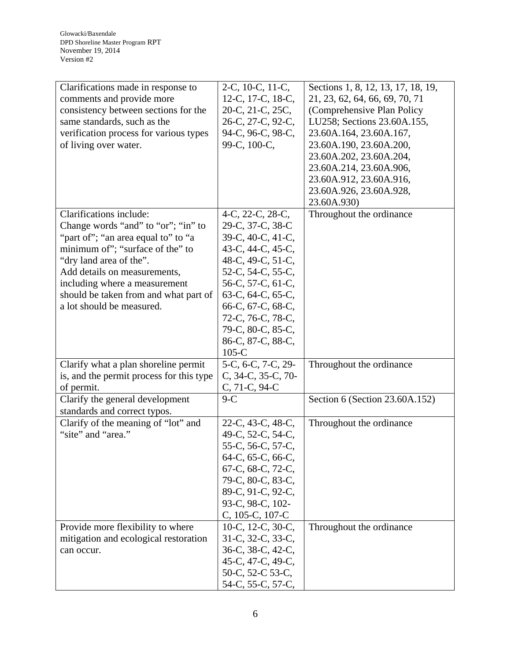| Clarifications made in response to       | 2-C, 10-C, 11-C,   | Sections 1, 8, 12, 13, 17, 18, 19, |
|------------------------------------------|--------------------|------------------------------------|
| comments and provide more                | 12-C, 17-C, 18-C,  | 21, 23, 62, 64, 66, 69, 70, 71     |
| consistency between sections for the     | 20-C, 21-C, 25C,   | (Comprehensive Plan Policy)        |
| same standards, such as the              | 26-С, 27-С, 92-С,  | LU258; Sections 23.60A.155,        |
| verification process for various types   | 94-C, 96-C, 98-C,  | 23.60A.164, 23.60A.167,            |
| of living over water.                    | 99-C, 100-C,       | 23.60A.190, 23.60A.200,            |
|                                          |                    | 23.60A.202, 23.60A.204,            |
|                                          |                    | 23.60A.214, 23.60A.906,            |
|                                          |                    | 23.60A.912, 23.60A.916,            |
|                                          |                    | 23.60A.926, 23.60A.928,            |
|                                          |                    | 23.60A.930)                        |
| Clarifications include:                  | 4-C, 22-C, 28-C,   | Throughout the ordinance           |
| Change words "and" to "or"; "in" to      | 29-C, 37-C, 38-C   |                                    |
| "part of"; "an area equal to" to "a      | 39-C, 40-C, 41-C,  |                                    |
| minimum of"; "surface of the" to         | 43-C, 44-C, 45-C,  |                                    |
| "dry land area of the".                  | 48-C, 49-C, 51-C,  |                                    |
| Add details on measurements,             | 52-C, 54-C, 55-C,  |                                    |
| including where a measurement            | 56-C, 57-C, 61-C,  |                                    |
| should be taken from and what part of    | 63-C, 64-C, 65-C,  |                                    |
| a lot should be measured.                | 66-C, 67-C, 68-C,  |                                    |
|                                          |                    |                                    |
|                                          | 72-C, 76-C, 78-C,  |                                    |
|                                          | 79-C, 80-C, 85-C,  |                                    |
|                                          | 86-C, 87-C, 88-C,  |                                    |
|                                          | $105-C$            |                                    |
| Clarify what a plan shoreline permit     | 5-C, 6-C, 7-C, 29- | Throughout the ordinance           |
| is, and the permit process for this type | C, 34-C, 35-C, 70- |                                    |
| of permit.                               | C, 71-C, 94-C      |                                    |
| Clarify the general development          | $9-C$              | Section 6 (Section 23.60A.152)     |
| standards and correct typos.             |                    |                                    |
| Clarify of the meaning of "lot" and      | 22-C, 43-C, 48-C,  | Throughout the ordinance           |
| "site" and "area."                       | 49-C, 52-C, 54-C,  |                                    |
|                                          | 55-C, 56-C, 57-C,  |                                    |
|                                          | 64-C, 65-C, 66-C,  |                                    |
|                                          | 67-C, 68-C, 72-C,  |                                    |
|                                          | 79-С, 80-С, 83-С,  |                                    |
|                                          | 89-C, 91-C, 92-C,  |                                    |
|                                          | 93-C, 98-C, 102-   |                                    |
|                                          | C, 105-C, 107-C    |                                    |
| Provide more flexibility to where        | 10-C, 12-C, 30-C,  | Throughout the ordinance           |
| mitigation and ecological restoration    | 31-C, 32-C, 33-C,  |                                    |
|                                          |                    |                                    |
| can occur.                               | 36-C, 38-C, 42-C,  |                                    |
|                                          | 45-C, 47-C, 49-C,  |                                    |
|                                          | 50-C, 52-C 53-C,   |                                    |
|                                          | 54-C, 55-C, 57-C,  |                                    |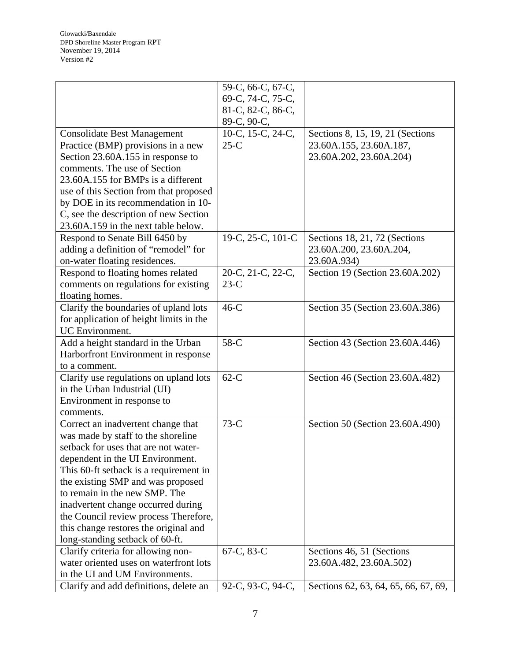|                                         | 59-C, 66-C, 67-C, |                                      |
|-----------------------------------------|-------------------|--------------------------------------|
|                                         | 69-C, 74-C, 75-C, |                                      |
|                                         | 81-C, 82-C, 86-C, |                                      |
|                                         | 89-C, 90-C,       |                                      |
| <b>Consolidate Best Management</b>      | 10-C, 15-C, 24-C, | Sections 8, 15, 19, 21 (Sections     |
| Practice (BMP) provisions in a new      | $25-C$            | 23.60A.155, 23.60A.187,              |
| Section 23.60A.155 in response to       |                   | 23.60A.202, 23.60A.204)              |
| comments. The use of Section            |                   |                                      |
| 23.60A.155 for BMPs is a different      |                   |                                      |
| use of this Section from that proposed  |                   |                                      |
| by DOE in its recommendation in 10-     |                   |                                      |
| C, see the description of new Section   |                   |                                      |
| 23.60A.159 in the next table below.     |                   |                                      |
| Respond to Senate Bill 6450 by          | 19-C, 25-C, 101-C | Sections 18, 21, 72 (Sections        |
| adding a definition of "remodel" for    |                   | 23.60A.200, 23.60A.204,              |
| on-water floating residences.           |                   | 23.60A.934)                          |
| Respond to floating homes related       | 20-C, 21-C, 22-C, | Section 19 (Section 23.60A.202)      |
| comments on regulations for existing    | $23-C$            |                                      |
| floating homes.                         |                   |                                      |
| Clarify the boundaries of upland lots   | $46-C$            | Section 35 (Section 23.60A.386)      |
| for application of height limits in the |                   |                                      |
| UC Environment.                         |                   |                                      |
| Add a height standard in the Urban      | 58-C              | Section 43 (Section 23.60A.446)      |
| Harborfront Environment in response     |                   |                                      |
| to a comment.                           |                   |                                      |
| Clarify use regulations on upland lots  | $62-C$            | Section 46 (Section 23.60A.482)      |
| in the Urban Industrial (UI)            |                   |                                      |
| Environment in response to              |                   |                                      |
| comments.                               |                   |                                      |
| Correct an inadvertent change that      | $73-C$            | Section 50 (Section 23.60A.490)      |
| was made by staff to the shoreline      |                   |                                      |
| setback for uses that are not water-    |                   |                                      |
| dependent in the UI Environment.        |                   |                                      |
| This 60-ft setback is a requirement in  |                   |                                      |
| the existing SMP and was proposed       |                   |                                      |
| to remain in the new SMP. The           |                   |                                      |
| inadvertent change occurred during      |                   |                                      |
| the Council review process Therefore,   |                   |                                      |
| this change restores the original and   |                   |                                      |
| long-standing setback of 60-ft.         |                   |                                      |
| Clarify criteria for allowing non-      | 67-C, 83-C        | Sections 46, 51 (Sections            |
| water oriented uses on waterfront lots  |                   | 23.60A.482, 23.60A.502)              |
| in the UI and UM Environments.          |                   |                                      |
| Clarify and add definitions, delete an  | 92-C, 93-C, 94-C, | Sections 62, 63, 64, 65, 66, 67, 69, |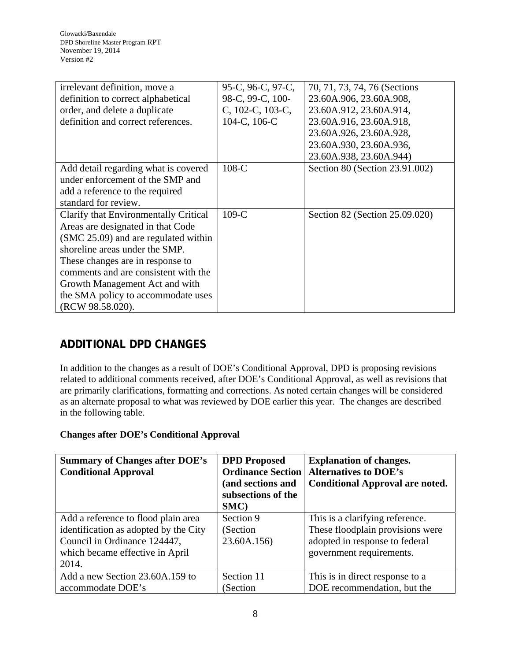| irrelevant definition, move a         | 95-C, 96-C, 97-C, | 70, 71, 73, 74, 76 (Sections   |
|---------------------------------------|-------------------|--------------------------------|
| definition to correct alphabetical    | 98-C, 99-C, 100-  | 23.60A.906, 23.60A.908,        |
| order, and delete a duplicate         | C, 102-C, 103-C,  | 23.60A.912, 23.60A.914,        |
| definition and correct references.    | 104-C, 106-C      | 23.60A.916, 23.60A.918,        |
|                                       |                   | 23.60A.926, 23.60A.928,        |
|                                       |                   | 23.60A.930, 23.60A.936,        |
|                                       |                   | 23.60A.938, 23.60A.944)        |
| Add detail regarding what is covered  | $108-C$           | Section 80 (Section 23.91.002) |
| under enforcement of the SMP and      |                   |                                |
| add a reference to the required       |                   |                                |
| standard for review.                  |                   |                                |
| Clarify that Environmentally Critical | $109-C$           | Section 82 (Section 25.09.020) |
| Areas are designated in that Code     |                   |                                |
| (SMC 25.09) and are regulated within  |                   |                                |
| shoreline areas under the SMP.        |                   |                                |
| These changes are in response to      |                   |                                |
| comments and are consistent with the  |                   |                                |
| Growth Management Act and with        |                   |                                |
| the SMA policy to accommodate uses    |                   |                                |
| (RCW 98.58.020).                      |                   |                                |

# **ADDITIONAL DPD CHANGES**

In addition to the changes as a result of DOE's Conditional Approval, DPD is proposing revisions related to additional comments received, after DOE's Conditional Approval, as well as revisions that are primarily clarifications, formatting and corrections. As noted certain changes will be considered as an alternate proposal to what was reviewed by DOE earlier this year. The changes are described in the following table.

#### **Changes after DOE's Conditional Approval**

| <b>Summary of Changes after DOE's</b> | <b>DPD</b> Proposed      | <b>Explanation of changes.</b>         |
|---------------------------------------|--------------------------|----------------------------------------|
| <b>Conditional Approval</b>           | <b>Ordinance Section</b> | <b>Alternatives to DOE's</b>           |
|                                       | (and sections and        | <b>Conditional Approval are noted.</b> |
|                                       | subsections of the       |                                        |
|                                       | SMC)                     |                                        |
| Add a reference to flood plain area   | Section 9                | This is a clarifying reference.        |
| identification as adopted by the City | (Section)                | These floodplain provisions were       |
| Council in Ordinance 124447,          | 23.60A.156)              | adopted in response to federal         |
| which became effective in April       |                          | government requirements.               |
| 2014.                                 |                          |                                        |
| Add a new Section 23.60A.159 to       | Section 11               | This is in direct response to a        |
| accommodate DOE's                     | (Section                 | DOE recommendation, but the            |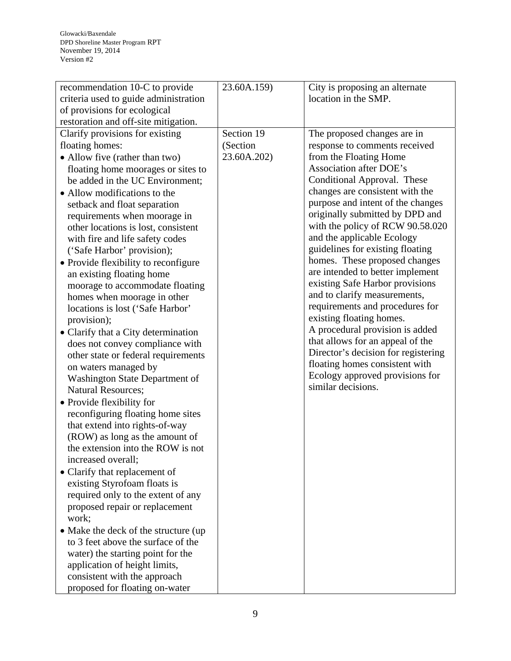| recommendation 10-C to provide        | 23.60A.159) | City is proposing an alternate      |
|---------------------------------------|-------------|-------------------------------------|
| criteria used to guide administration |             | location in the SMP.                |
| of provisions for ecological          |             |                                     |
| restoration and off-site mitigation.  |             |                                     |
| Clarify provisions for existing       | Section 19  | The proposed changes are in         |
| floating homes:                       | (Section    | response to comments received       |
| • Allow five (rather than two)        | 23.60A.202) | from the Floating Home              |
| floating home moorages or sites to    |             | <b>Association after DOE's</b>      |
| be added in the UC Environment;       |             | Conditional Approval. These         |
| • Allow modifications to the          |             | changes are consistent with the     |
| setback and float separation          |             | purpose and intent of the changes   |
| requirements when moorage in          |             | originally submitted by DPD and     |
| other locations is lost, consistent   |             | with the policy of RCW 90.58.020    |
| with fire and life safety codes       |             | and the applicable Ecology          |
| ('Safe Harbor' provision);            |             | guidelines for existing floating    |
| • Provide flexibility to reconfigure  |             | homes. These proposed changes       |
| an existing floating home             |             | are intended to better implement    |
| moorage to accommodate floating       |             | existing Safe Harbor provisions     |
| homes when moorage in other           |             | and to clarify measurements,        |
| locations is lost ('Safe Harbor'      |             | requirements and procedures for     |
| provision);                           |             | existing floating homes.            |
| • Clarify that a City determination   |             | A procedural provision is added     |
| does not convey compliance with       |             | that allows for an appeal of the    |
| other state or federal requirements   |             | Director's decision for registering |
| on waters managed by                  |             | floating homes consistent with      |
| Washington State Department of        |             | Ecology approved provisions for     |
| <b>Natural Resources;</b>             |             | similar decisions.                  |
| • Provide flexibility for             |             |                                     |
| reconfiguring floating home sites     |             |                                     |
| that extend into rights-of-way        |             |                                     |
| (ROW) as long as the amount of        |             |                                     |
| the extension into the ROW is not     |             |                                     |
| increased overall;                    |             |                                     |
| • Clarify that replacement of         |             |                                     |
| existing Styrofoam floats is          |             |                                     |
| required only to the extent of any    |             |                                     |
| proposed repair or replacement        |             |                                     |
| work;                                 |             |                                     |
| • Make the deck of the structure (up) |             |                                     |
| to 3 feet above the surface of the    |             |                                     |
| water) the starting point for the     |             |                                     |
| application of height limits,         |             |                                     |
| consistent with the approach          |             |                                     |
| proposed for floating on-water        |             |                                     |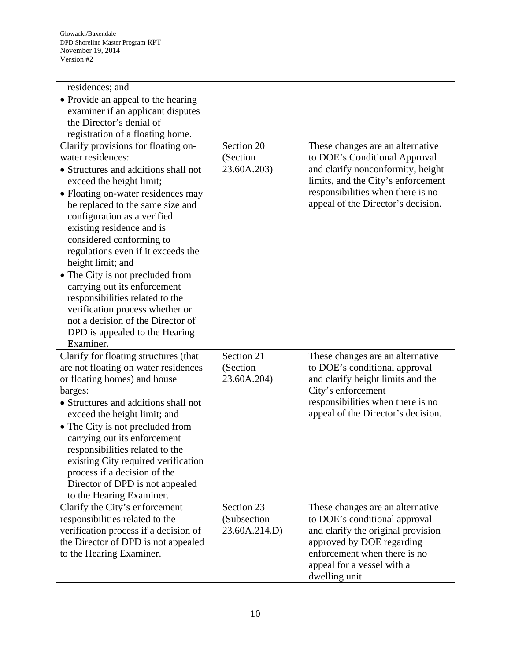| residences; and<br>• Provide an appeal to the hearing<br>examiner if an applicant disputes<br>the Director's denial of<br>registration of a floating home.                                                                                                                                                                                                                                                                                                                                                                                                                              |                                            |                                                                                                                                                                                                                         |
|-----------------------------------------------------------------------------------------------------------------------------------------------------------------------------------------------------------------------------------------------------------------------------------------------------------------------------------------------------------------------------------------------------------------------------------------------------------------------------------------------------------------------------------------------------------------------------------------|--------------------------------------------|-------------------------------------------------------------------------------------------------------------------------------------------------------------------------------------------------------------------------|
| Clarify provisions for floating on-<br>water residences:<br>• Structures and additions shall not<br>exceed the height limit;<br>• Floating on-water residences may<br>be replaced to the same size and<br>configuration as a verified<br>existing residence and is<br>considered conforming to<br>regulations even if it exceeds the<br>height limit; and<br>• The City is not precluded from<br>carrying out its enforcement<br>responsibilities related to the<br>verification process whether or<br>not a decision of the Director of<br>DPD is appealed to the Hearing<br>Examiner. | Section 20<br>(Section<br>23.60A.203)      | These changes are an alternative<br>to DOE's Conditional Approval<br>and clarify nonconformity, height<br>limits, and the City's enforcement<br>responsibilities when there is no<br>appeal of the Director's decision. |
| Clarify for floating structures (that<br>are not floating on water residences<br>or floating homes) and house<br>barges:<br>• Structures and additions shall not<br>exceed the height limit; and<br>• The City is not precluded from<br>carrying out its enforcement<br>responsibilities related to the<br>existing City required verification<br>process if a decision of the<br>Director of DPD is not appealed<br>to the Hearing Examiner.                                                                                                                                           | Section 21<br>(Section<br>23.60A.204)      | These changes are an alternative<br>to DOE's conditional approval<br>and clarify height limits and the<br>City's enforcement<br>responsibilities when there is no<br>appeal of the Director's decision.                 |
| Clarify the City's enforcement<br>responsibilities related to the<br>verification process if a decision of<br>the Director of DPD is not appealed<br>to the Hearing Examiner.                                                                                                                                                                                                                                                                                                                                                                                                           | Section 23<br>(Subsection<br>23.60A.214.D) | These changes are an alternative<br>to DOE's conditional approval<br>and clarify the original provision<br>approved by DOE regarding<br>enforcement when there is no<br>appeal for a vessel with a<br>dwelling unit.    |